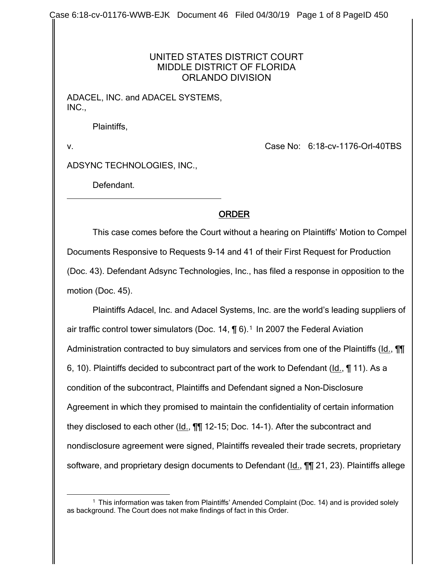Case 6:18-cv-01176-WWB-EJK Document 46 Filed 04/30/19 Page 1 of 8 PageID 450

## UNITED STATES DISTRICT COURT MIDDLE DISTRICT OF FLORIDA ORLANDO DIVISION

ADACEL, INC. and ADACEL SYSTEMS, INC.,

Plaintiffs,

v. Case No: 6:18-cv-1176-Orl-40TBS

ADSYNC TECHNOLOGIES, INC.,

Defendant.

## ORDER

This case comes before the Court without a hearing on Plaintiffs' Motion to Compel Documents Responsive to Requests 9-14 and 41 of their First Request for Production (Doc. 43). Defendant Adsync Technologies, Inc., has filed a response in opposition to the motion (Doc. 45).

Plaintiffs Adacel, Inc. and Adacel Systems, Inc. are the world's leading suppliers of air traffic control tower simulators (Doc. [1](#page-0-0)4,  $\P$  6).<sup>1</sup> In 2007 the Federal Aviation Administration contracted to buy simulators and services from one of the Plaintiffs (Id., **[1]** 6, 10). Plaintiffs decided to subcontract part of the work to Defendant (Id., ¶ 11). As a condition of the subcontract, Plaintiffs and Defendant signed a Non-Disclosure Agreement in which they promised to maintain the confidentiality of certain information they disclosed to each other (Id., ¶¶ 12-15; Doc. 14-1). After the subcontract and nondisclosure agreement were signed, Plaintiffs revealed their trade secrets, proprietary software, and proprietary design documents to Defendant (Id., **[1]** 21, 23). Plaintiffs allege

<span id="page-0-0"></span> <sup>1</sup> This information was taken from Plaintiffs' Amended Complaint (Doc. 14) and is provided solely as background. The Court does not make findings of fact in this Order.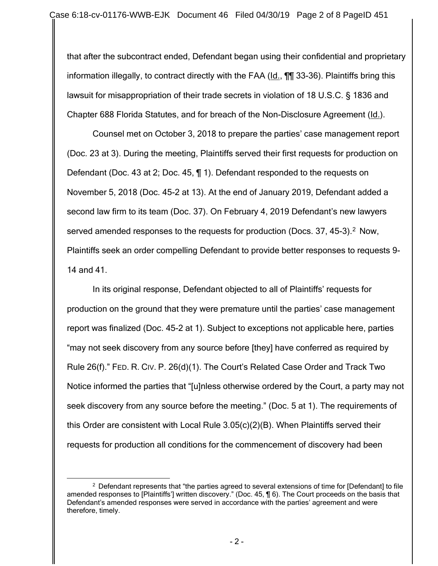that after the subcontract ended, Defendant began using their confidential and proprietary information illegally, to contract directly with the FAA (Id., ¶¶ 33-36). Plaintiffs bring this lawsuit for misappropriation of their trade secrets in violation of 18 U.S.C. § 1836 and Chapter 688 Florida Statutes, and for breach of the Non-Disclosure Agreement (Id.).

Counsel met on October 3, 2018 to prepare the parties' case management report (Doc. 23 at 3). During the meeting, Plaintiffs served their first requests for production on Defendant (Doc. 43 at 2; Doc. 45, ¶ 1). Defendant responded to the requests on November 5, 2018 (Doc. 45-2 at 13). At the end of January 2019, Defendant added a second law firm to its team (Doc. 37). On February 4, 2019 Defendant's new lawyers served amended responses to the requests for production (Docs. 37, 45-3).<sup>[2](#page-1-0)</sup> Now, Plaintiffs seek an order compelling Defendant to provide better responses to requests 9- 14 and 41.

In its original response, Defendant objected to all of Plaintiffs' requests for production on the ground that they were premature until the parties' case management report was finalized (Doc. 45-2 at 1). Subject to exceptions not applicable here, parties "may not seek discovery from any source before [they] have conferred as required by Rule 26(f)." FED. R. CIV. P. 26(d)(1). The Court's Related Case Order and Track Two Notice informed the parties that "[u]nless otherwise ordered by the Court, a party may not seek discovery from any source before the meeting." (Doc. 5 at 1). The requirements of this Order are consistent with Local Rule 3.05(c)(2)(B). When Plaintiffs served their requests for production all conditions for the commencement of discovery had been

<span id="page-1-0"></span><sup>&</sup>lt;sup>2</sup> Defendant represents that "the parties agreed to several extensions of time for [Defendant] to file amended responses to [Plaintiffs'] written discovery." (Doc. 45, ¶ 6). The Court proceeds on the basis that Defendant's amended responses were served in accordance with the parties' agreement and were therefore, timely.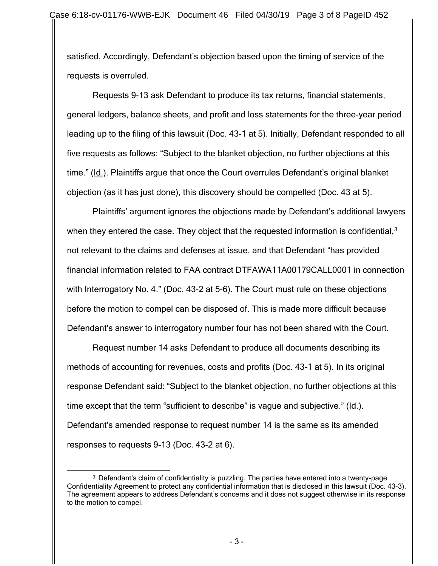satisfied. Accordingly, Defendant's objection based upon the timing of service of the requests is overruled.

Requests 9-13 ask Defendant to produce its tax returns, financial statements, general ledgers, balance sheets, and profit and loss statements for the three-year period leading up to the filing of this lawsuit (Doc. 43-1 at 5). Initially, Defendant responded to all five requests as follows: "Subject to the blanket objection, no further objections at this time." (Id.). Plaintiffs argue that once the Court overrules Defendant's original blanket objection (as it has just done), this discovery should be compelled (Doc. 43 at 5).

Plaintiffs' argument ignores the objections made by Defendant's additional lawyers when they entered the case. They object that the requested information is confidential,  $3$ not relevant to the claims and defenses at issue, and that Defendant "has provided financial information related to FAA contract DTFAWA11A00179CALL0001 in connection with Interrogatory No. 4." (Doc. 43-2 at 5-6). The Court must rule on these objections before the motion to compel can be disposed of. This is made more difficult because Defendant's answer to interrogatory number four has not been shared with the Court.

Request number 14 asks Defendant to produce all documents describing its methods of accounting for revenues, costs and profits (Doc. 43-1 at 5). In its original response Defendant said: "Subject to the blanket objection, no further objections at this time except that the term "sufficient to describe" is vague and subjective." (Id.). Defendant's amended response to request number 14 is the same as its amended responses to requests 9-13 (Doc. 43-2 at 6).

<span id="page-2-0"></span> $3$  Defendant's claim of confidentiality is puzzling. The parties have entered into a twenty-page Confidentiality Agreement to protect any confidential information that is disclosed in this lawsuit (Doc. 43-3). The agreement appears to address Defendant's concerns and it does not suggest otherwise in its response to the motion to compel.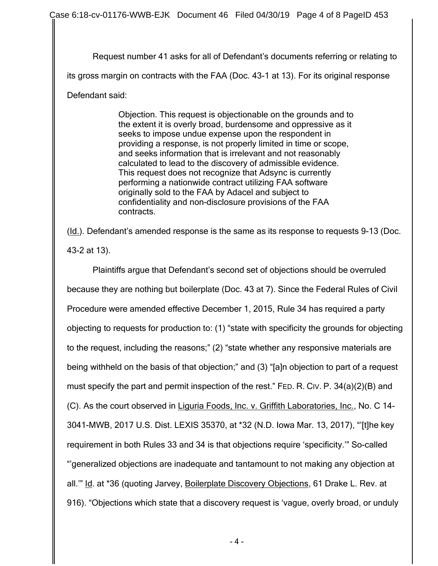Request number 41 asks for all of Defendant's documents referring or relating to its gross margin on contracts with the FAA (Doc. 43-1 at 13). For its original response

Defendant said:

Objection. This request is objectionable on the grounds and to the extent it is overly broad, burdensome and oppressive as it seeks to impose undue expense upon the respondent in providing a response, is not properly limited in time or scope, and seeks information that is irrelevant and not reasonably calculated to lead to the discovery of admissible evidence. This request does not recognize that Adsync is currently performing a nationwide contract utilizing FAA software originally sold to the FAA by Adacel and subject to confidentiality and non-disclosure provisions of the FAA contracts.

(Id.). Defendant's amended response is the same as its response to requests 9-13 (Doc. 43-2 at 13).

Plaintiffs argue that Defendant's second set of objections should be overruled because they are nothing but boilerplate (Doc. 43 at 7). Since the Federal Rules of Civil Procedure were amended effective December 1, 2015, Rule 34 has required a party objecting to requests for production to: (1) "state with specificity the grounds for objecting to the request, including the reasons;" (2) "state whether any responsive materials are being withheld on the basis of that objection;" and (3) "[a]n objection to part of a request must specify the part and permit inspection of the rest." FED. R. CIV. P. 34(a)(2)(B) and (C). As the court observed in Liguria Foods, Inc. v. Griffith Laboratories, Inc., No. C 14- 3041-MWB, 2017 U.S. Dist. LEXIS 35370, at \*32 (N.D. Iowa Mar. 13, 2017), "'[t]he key requirement in both Rules 33 and 34 is that objections require 'specificity.'" So-called "'generalized objections are inadequate and tantamount to not making any objection at all.'" Id. at \*36 (quoting Jarvey, Boilerplate Discovery Objections, 61 Drake L. Rev. at 916). "Objections which state that a discovery request is 'vague, overly broad, or unduly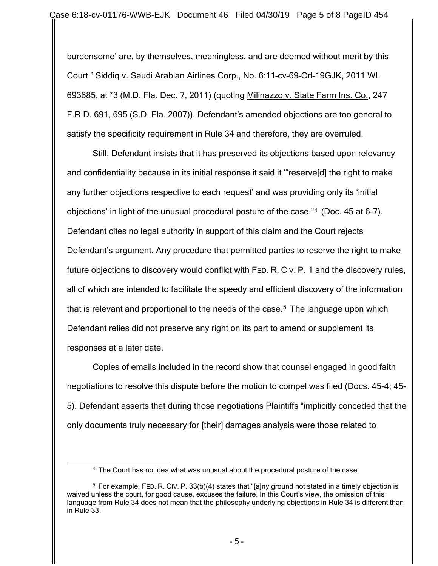burdensome' are, by themselves, meaningless, and are deemed without merit by this Court." Siddiq v. Saudi Arabian Airlines Corp., No. 6:11–cv–69–Orl–19GJK, 2011 WL 693685, at \*3 (M.D. Fla. Dec. 7, 2011) (quoting Milinazzo v. State Farm Ins. Co., 247 F.R.D. 691, 695 (S.D. Fla. 2007)). Defendant's amended objections are too general to satisfy the specificity requirement in Rule 34 and therefore, they are overruled.

Still, Defendant insists that it has preserved its objections based upon relevancy and confidentiality because in its initial response it said it '"reserve[d] the right to make any further objections respective to each request' and was providing only its 'initial objections' in light of the unusual procedural posture of the case."[4](#page-4-0) (Doc. 45 at 6-7). Defendant cites no legal authority in support of this claim and the Court rejects Defendant's argument. Any procedure that permitted parties to reserve the right to make future objections to discovery would conflict with FED. R. CIV. P. 1 and the discovery rules, all of which are intended to facilitate the speedy and efficient discovery of the information that is relevant and proportional to the needs of the case.<sup>[5](#page-4-1)</sup> The language upon which Defendant relies did not preserve any right on its part to amend or supplement its responses at a later date.

Copies of emails included in the record show that counsel engaged in good faith negotiations to resolve this dispute before the motion to compel was filed (Docs. 45-4; 45- 5). Defendant asserts that during those negotiations Plaintiffs "implicitly conceded that the only documents truly necessary for [their] damages analysis were those related to

 <sup>4</sup> The Court has no idea what was unusual about the procedural posture of the case.

<span id="page-4-1"></span><span id="page-4-0"></span><sup>5</sup> For example, FED. R. CIV. P. 33(b)(4) states that "[a]ny ground not stated in a timely objection is waived unless the court, for good cause, excuses the failure. In this Court's view, the omission of this language from Rule 34 does not mean that the philosophy underlying objections in Rule 34 is different than in Rule 33.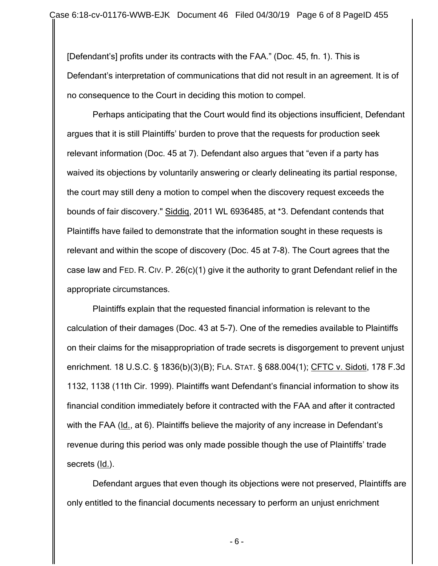[Defendant's] profits under its contracts with the FAA." (Doc. 45, fn. 1). This is Defendant's interpretation of communications that did not result in an agreement. It is of no consequence to the Court in deciding this motion to compel.

Perhaps anticipating that the Court would find its objections insufficient, Defendant argues that it is still Plaintiffs' burden to prove that the requests for production seek relevant information (Doc. 45 at 7). Defendant also argues that "even if a party has waived its objections by voluntarily answering or clearly delineating its partial response, the court may still deny a motion to compel when the discovery request exceeds the bounds of fair discovery." Siddiq, 2011 WL 6936485, at \*3. Defendant contends that Plaintiffs have failed to demonstrate that the information sought in these requests is relevant and within the scope of discovery (Doc. 45 at 7-8). The Court agrees that the case law and FED. R. CIV. P. 26(c)(1) give it the authority to grant Defendant relief in the appropriate circumstances.

Plaintiffs explain that the requested financial information is relevant to the calculation of their damages (Doc. 43 at 5-7). One of the remedies available to Plaintiffs on their claims for the misappropriation of trade secrets is disgorgement to prevent unjust enrichment. 18 U.S.C. § 1836(b)(3)(B); FLA. STAT. § 688.004(1); CFTC v. Sidoti, 178 F.3d 1132, 1138 (11th Cir. 1999). Plaintiffs want Defendant's financial information to show its financial condition immediately before it contracted with the FAA and after it contracted with the FAA (Id., at 6). Plaintiffs believe the majority of any increase in Defendant's revenue during this period was only made possible though the use of Plaintiffs' trade secrets (Id.).

Defendant argues that even though its objections were not preserved, Plaintiffs are only entitled to the financial documents necessary to perform an unjust enrichment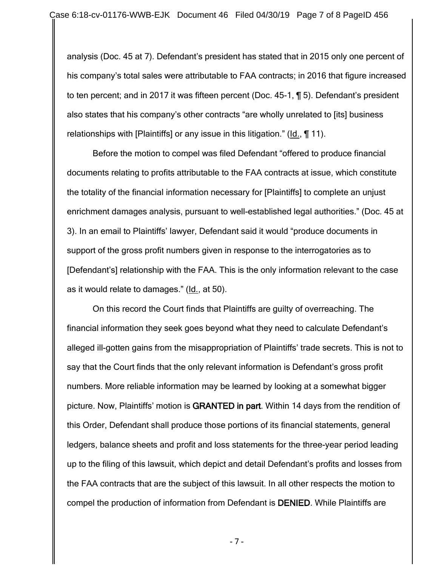analysis (Doc. 45 at 7). Defendant's president has stated that in 2015 only one percent of his company's total sales were attributable to FAA contracts; in 2016 that figure increased to ten percent; and in 2017 it was fifteen percent (Doc. 45-1, ¶ 5). Defendant's president also states that his company's other contracts "are wholly unrelated to [its] business relationships with [Plaintiffs] or any issue in this litigation." (Id., ¶ 11).

Before the motion to compel was filed Defendant "offered to produce financial documents relating to profits attributable to the FAA contracts at issue, which constitute the totality of the financial information necessary for [Plaintiffs] to complete an unjust enrichment damages analysis, pursuant to well-established legal authorities." (Doc. 45 at 3). In an email to Plaintiffs' lawyer, Defendant said it would "produce documents in support of the gross profit numbers given in response to the interrogatories as to [Defendant's] relationship with the FAA. This is the only information relevant to the case as it would relate to damages." (Id., at 50).

On this record the Court finds that Plaintiffs are guilty of overreaching. The financial information they seek goes beyond what they need to calculate Defendant's alleged ill-gotten gains from the misappropriation of Plaintiffs' trade secrets. This is not to say that the Court finds that the only relevant information is Defendant's gross profit numbers. More reliable information may be learned by looking at a somewhat bigger picture. Now, Plaintiffs' motion is GRANTED in part. Within 14 days from the rendition of this Order, Defendant shall produce those portions of its financial statements, general ledgers, balance sheets and profit and loss statements for the three-year period leading up to the filing of this lawsuit, which depict and detail Defendant's profits and losses from the FAA contracts that are the subject of this lawsuit. In all other respects the motion to compel the production of information from Defendant is DENIED. While Plaintiffs are

- 7 -